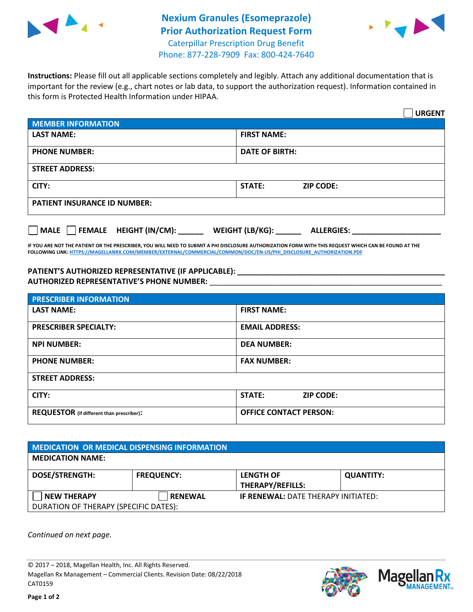

## **Nexium Granules (Esomeprazole) Prior Authorization Request Form** Caterpillar Prescription Drug Benefit Phone: 877-228-7909 Fax: 800-424-7640



**Instructions:** Please fill out all applicable sections completely and legibly. Attach any additional documentation that is important for the review (e.g., chart notes or lab data, to support the authorization request). Information contained in this form is Protected Health Information under HIPAA.

|                                              | <b>URGENT</b>                        |  |  |  |
|----------------------------------------------|--------------------------------------|--|--|--|
| <b>MEMBER INFORMATION</b>                    |                                      |  |  |  |
| <b>LAST NAME:</b>                            | <b>FIRST NAME:</b>                   |  |  |  |
| <b>PHONE NUMBER:</b>                         | <b>DATE OF BIRTH:</b>                |  |  |  |
| <b>STREET ADDRESS:</b>                       |                                      |  |  |  |
| CITY:                                        | STATE:<br><b>ZIP CODE:</b>           |  |  |  |
| <b>PATIENT INSURANCE ID NUMBER:</b>          |                                      |  |  |  |
| $\Box$ FEMALE HEIGHT (IN/CM):<br><b>MALE</b> | WEIGHT (LB/KG):<br><b>ALLERGIES:</b> |  |  |  |

**IF YOU ARE NOT THE PATIENT OR THE PRESCRIBER, YOU WILL NEED TO SUBMIT A PHI DISCLOSURE AUTHORIZATION FORM WITH THIS REQUEST WHICH CAN BE FOUND AT THE FOLLOWING LINK[: HTTPS://MAGELLANRX.COM/MEMBER/EXTERNAL/COMMERCIAL/COMMON/DOC/EN-US/PHI\\_DISCLOSURE\\_AUTHORIZATION.PDF](https://magellanrx.com/member/external/commercial/common/doc/en-us/PHI_Disclosure_Authorization.pdf)**

**PATIENT'S AUTHORIZED REPRESENTATIVE (IF APPLICABLE): \_\_\_\_\_\_\_\_\_\_\_\_\_\_\_\_\_\_\_\_\_\_\_\_\_\_\_\_\_\_\_\_\_\_\_\_\_\_\_\_\_\_\_\_\_\_\_\_\_ AUTHORIZED REPRESENTATIVE'S PHONE NUMBER:** \_\_\_\_\_\_\_\_\_\_\_\_\_\_\_\_\_\_\_\_\_\_\_\_\_\_\_\_\_\_\_\_\_\_\_\_\_\_\_\_\_\_\_\_\_\_\_\_\_\_\_\_\_\_\_

| <b>PRESCRIBER INFORMATION</b>             |                               |  |  |  |
|-------------------------------------------|-------------------------------|--|--|--|
| <b>LAST NAME:</b>                         | <b>FIRST NAME:</b>            |  |  |  |
| <b>PRESCRIBER SPECIALTY:</b>              | <b>EMAIL ADDRESS:</b>         |  |  |  |
| <b>NPI NUMBER:</b>                        | <b>DEA NUMBER:</b>            |  |  |  |
| <b>PHONE NUMBER:</b>                      | <b>FAX NUMBER:</b>            |  |  |  |
| <b>STREET ADDRESS:</b>                    |                               |  |  |  |
| CITY:                                     | STATE:<br><b>ZIP CODE:</b>    |  |  |  |
| REQUESTOR (if different than prescriber): | <b>OFFICE CONTACT PERSON:</b> |  |  |  |

| <b>MEDICATION OR MEDICAL DISPENSING INFORMATION</b> |                   |                                            |                  |  |  |
|-----------------------------------------------------|-------------------|--------------------------------------------|------------------|--|--|
| <b>MEDICATION NAME:</b>                             |                   |                                            |                  |  |  |
| <b>DOSE/STRENGTH:</b>                               | <b>FREQUENCY:</b> | <b>LENGTH OF</b>                           | <b>QUANTITY:</b> |  |  |
|                                                     |                   | <b>THERAPY/REFILLS:</b>                    |                  |  |  |
| <b>NEW THERAPY</b>                                  | <b>RENEWAL</b>    | <b>IF RENEWAL: DATE THERAPY INITIATED:</b> |                  |  |  |
| DURATION OF THERAPY (SPECIFIC DATES):               |                   |                                            |                  |  |  |

*Continued on next page.*

© 2017 – 2018, Magellan Health, Inc. All Rights Reserved. Magellan Rx Management – Commercial Clients. Revision Date: 08/22/2018 CAT0159